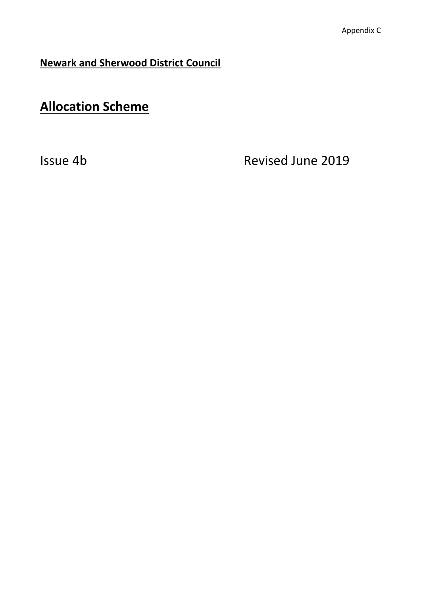**Newark and Sherwood District Council**

# **Allocation Scheme**

Issue 4b Revised June 2019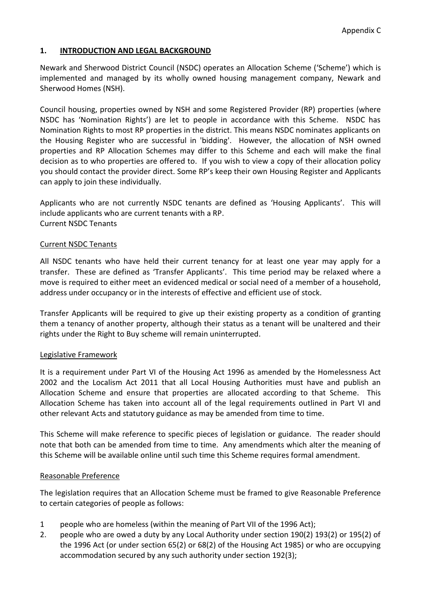# **1. INTRODUCTION AND LEGAL BACKGROUND**

Newark and Sherwood District Council (NSDC) operates an Allocation Scheme ('Scheme') which is implemented and managed by its wholly owned housing management company, Newark and Sherwood Homes (NSH).

Council housing, properties owned by NSH and some Registered Provider (RP) properties (where NSDC has 'Nomination Rights') are let to people in accordance with this Scheme. NSDC has Nomination Rights to most RP properties in the district. This means NSDC nominates applicants on the Housing Register who are successful in 'bidding'. However, the allocation of NSH owned properties and RP Allocation Schemes may differ to this Scheme and each will make the final decision as to who properties are offered to. If you wish to view a copy of their allocation policy you should contact the provider direct. Some RP's keep their own Housing Register and Applicants can apply to join these individually.

Applicants who are not currently NSDC tenants are defined as 'Housing Applicants'. This will include applicants who are current tenants with a RP. Current NSDC Tenants

## Current NSDC Tenants

All NSDC tenants who have held their current tenancy for at least one year may apply for a transfer. These are defined as 'Transfer Applicants'. This time period may be relaxed where a move is required to either meet an evidenced medical or social need of a member of a household, address under occupancy or in the interests of effective and efficient use of stock.

Transfer Applicants will be required to give up their existing property as a condition of granting them a tenancy of another property, although their status as a tenant will be unaltered and their rights under the Right to Buy scheme will remain uninterrupted.

## Legislative Framework

It is a requirement under Part VI of the Housing Act 1996 as amended by the Homelessness Act 2002 and the Localism Act 2011 that all Local Housing Authorities must have and publish an Allocation Scheme and ensure that properties are allocated according to that Scheme. This Allocation Scheme has taken into account all of the legal requirements outlined in Part VI and other relevant Acts and statutory guidance as may be amended from time to time.

This Scheme will make reference to specific pieces of legislation or guidance. The reader should note that both can be amended from time to time. Any amendments which alter the meaning of this Scheme will be available online until such time this Scheme requires formal amendment.

## Reasonable Preference

The legislation requires that an Allocation Scheme must be framed to give Reasonable Preference to certain categories of people as follows:

- 1 people who are homeless (within the meaning of Part VII of the 1996 Act);
- 2. people who are owed a duty by any Local Authority under section 190(2) 193(2) or 195(2) of the 1996 Act (or under section 65(2) or 68(2) of the Housing Act 1985) or who are occupying accommodation secured by any such authority under section 192(3);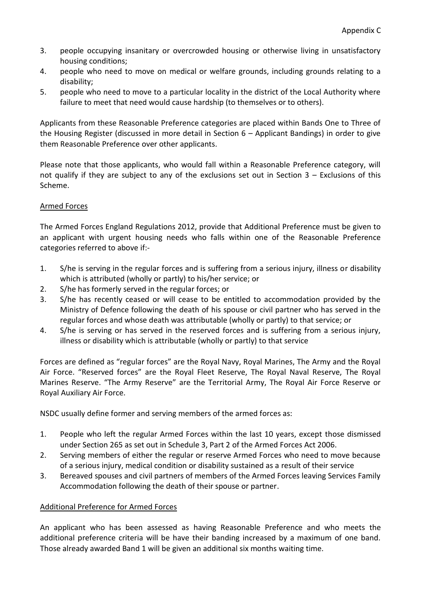- 3. people occupying insanitary or overcrowded housing or otherwise living in unsatisfactory housing conditions;
- 4. people who need to move on medical or welfare grounds, including grounds relating to a disability;
- 5. people who need to move to a particular locality in the district of the Local Authority where failure to meet that need would cause hardship (to themselves or to others).

Applicants from these Reasonable Preference categories are placed within Bands One to Three of the Housing Register (discussed in more detail in Section 6 – Applicant Bandings) in order to give them Reasonable Preference over other applicants.

Please note that those applicants, who would fall within a Reasonable Preference category, will not qualify if they are subject to any of the exclusions set out in Section 3 – Exclusions of this Scheme.

# Armed Forces

The Armed Forces England Regulations 2012, provide that Additional Preference must be given to an applicant with urgent housing needs who falls within one of the Reasonable Preference categories referred to above if:-

- 1. S/he is serving in the regular forces and is suffering from a serious injury, illness or disability which is attributed (wholly or partly) to his/her service; or
- 2. S/he has formerly served in the regular forces; or
- 3. S/he has recently ceased or will cease to be entitled to accommodation provided by the Ministry of Defence following the death of his spouse or civil partner who has served in the regular forces and whose death was attributable (wholly or partly) to that service; or
- 4. S/he is serving or has served in the reserved forces and is suffering from a serious injury, illness or disability which is attributable (wholly or partly) to that service

Forces are defined as "regular forces" are the Royal Navy, Royal Marines, The Army and the Royal Air Force. "Reserved forces" are the Royal Fleet Reserve, The Royal Naval Reserve, The Royal Marines Reserve. "The Army Reserve" are the Territorial Army, The Royal Air Force Reserve or Royal Auxiliary Air Force.

NSDC usually define former and serving members of the armed forces as:

- 1. People who left the regular Armed Forces within the last 10 years, except those dismissed under Section 265 as set out in Schedule 3, Part 2 of the Armed Forces Act 2006.
- 2. Serving members of either the regular or reserve Armed Forces who need to move because of a serious injury, medical condition or disability sustained as a result of their service
- 3. Bereaved spouses and civil partners of members of the Armed Forces leaving Services Family Accommodation following the death of their spouse or partner.

# Additional Preference for Armed Forces

An applicant who has been assessed as having Reasonable Preference and who meets the additional preference criteria will be have their banding increased by a maximum of one band. Those already awarded Band 1 will be given an additional six months waiting time.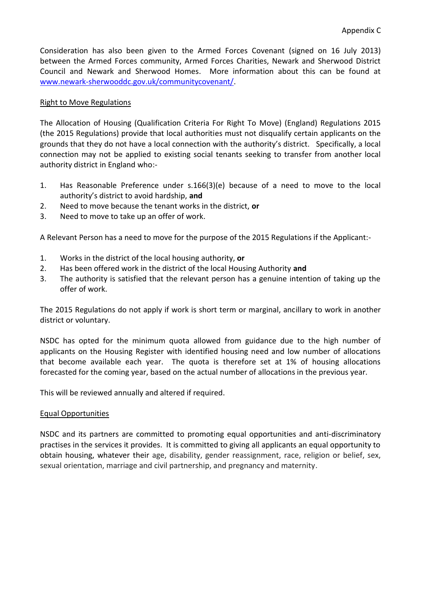Consideration has also been given to the Armed Forces Covenant (signed on 16 July 2013) between the Armed Forces community, Armed Forces Charities, Newark and Sherwood District Council and Newark and Sherwood Homes. More information about this can be found at [www.newark-sherwooddc.gov.uk/communitycovenant/.](http://www.newark-sherwooddc.gov.uk/communitycovenant/)

## Right to Move Regulations

The Allocation of Housing (Qualification Criteria For Right To Move) (England) Regulations 2015 (the 2015 Regulations) provide that local authorities must not disqualify certain applicants on the grounds that they do not have a local connection with the authority's district. Specifically, a local connection may not be applied to existing social tenants seeking to transfer from another local authority district in England who:-

- 1. Has Reasonable Preference under s.166(3)(e) because of a need to move to the local authority's district to avoid hardship, **and**
- 2. Need to move because the tenant works in the district, **or**
- 3. Need to move to take up an offer of work.

A Relevant Person has a need to move for the purpose of the 2015 Regulations if the Applicant:-

- 1. Works in the district of the local housing authority, **or**
- 2. Has been offered work in the district of the local Housing Authority **and**
- 3. The authority is satisfied that the relevant person has a genuine intention of taking up the offer of work.

The 2015 Regulations do not apply if work is short term or marginal, ancillary to work in another district or voluntary.

NSDC has opted for the minimum quota allowed from guidance due to the high number of applicants on the Housing Register with identified housing need and low number of allocations that become available each year. The quota is therefore set at 1% of housing allocations forecasted for the coming year, based on the actual number of allocations in the previous year.

This will be reviewed annually and altered if required.

## Equal Opportunities

NSDC and its partners are committed to promoting equal opportunities and anti-discriminatory practises in the services it provides. It is committed to giving all applicants an equal opportunity to obtain housing, whatever their age, disability, gender reassignment, race, religion or belief, sex, sexual orientation, marriage and civil partnership, and pregnancy and maternity.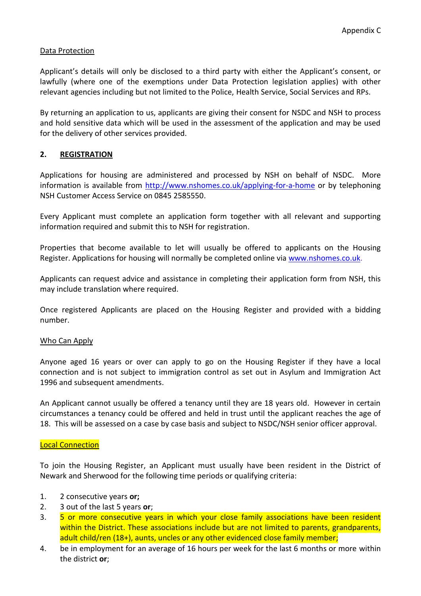## Data Protection

Applicant's details will only be disclosed to a third party with either the Applicant's consent, or lawfully (where one of the exemptions under Data Protection legislation applies) with other relevant agencies including but not limited to the Police, Health Service, Social Services and RPs.

By returning an application to us, applicants are giving their consent for NSDC and NSH to process and hold sensitive data which will be used in the assessment of the application and may be used for the delivery of other services provided.

## **2. REGISTRATION**

Applications for housing are administered and processed by NSH on behalf of NSDC. More information is available from<http://www.nshomes.co.uk/applying-for-a-home> or by telephoning NSH Customer Access Service on 0845 2585550.

Every Applicant must complete an application form together with all relevant and supporting information required and submit this to NSH for registration.

Properties that become available to let will usually be offered to applicants on the Housing Register. Applications for housing will normally be completed online via [www.nshomes.co.uk.](http://www.nshomes.co.uk/)

Applicants can request advice and assistance in completing their application form from NSH, this may include translation where required.

Once registered Applicants are placed on the Housing Register and provided with a bidding number.

## Who Can Apply

Anyone aged 16 years or over can apply to go on the Housing Register if they have a local connection and is not subject to immigration control as set out in Asylum and Immigration Act 1996 and subsequent amendments.

An Applicant cannot usually be offered a tenancy until they are 18 years old. However in certain circumstances a tenancy could be offered and held in trust until the applicant reaches the age of 18. This will be assessed on a case by case basis and subject to NSDC/NSH senior officer approval.

#### Local Connection

To join the Housing Register, an Applicant must usually have been resident in the District of Newark and Sherwood for the following time periods or qualifying criteria:

- 1. 2 consecutive years **or;**
- 2. 3 out of the last 5 years **or**;
- 3. 5 or more consecutive years in which your close family associations have been resident within the District. These associations include but are not limited to parents, grandparents, adult child/ren (18+), aunts, uncles or any other evidenced close family member;
- 4. be in employment for an average of 16 hours per week for the last 6 months or more within the district **or**;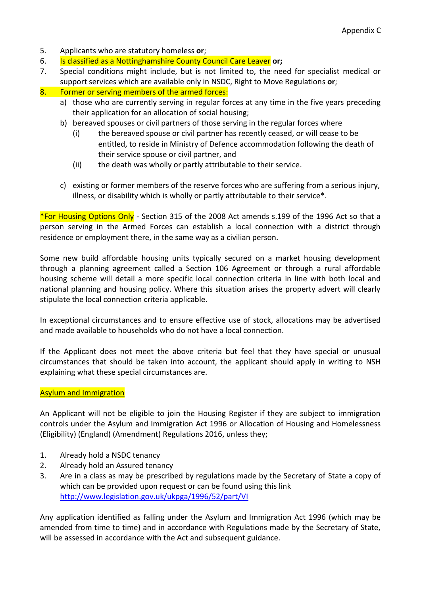- 5. Applicants who are statutory homeless **or**;
- 6. Is classified as a Nottinghamshire County Council Care Leaver **or;**
- 7. Special conditions might include, but is not limited to, the need for specialist medical or support services which are available only in NSDC, Right to Move Regulations **or**;
- 8. Former or serving members of the armed forces:
	- a) those who are currently serving in regular forces at any time in the five years preceding their application for an allocation of social housing;
	- b) bereaved spouses or civil partners of those serving in the regular forces where
		- (i) the bereaved spouse or civil partner has recently ceased, or will cease to be entitled, to reside in Ministry of Defence accommodation following the death of their service spouse or civil partner, and
		- (ii) the death was wholly or partly attributable to their service.
	- c) existing or former members of the reserve forces who are suffering from a serious injury, illness, or disability which is wholly or partly attributable to their service\*.

\*For Housing Options Only - Section 315 of the 2008 Act amends s.199 of the 1996 Act so that a person serving in the Armed Forces can establish a local connection with a district through residence or employment there, in the same way as a civilian person.

Some new build affordable housing units typically secured on a market housing development through a planning agreement called a Section 106 Agreement or through a rural affordable housing scheme will detail a more specific local connection criteria in line with both local and national planning and housing policy. Where this situation arises the property advert will clearly stipulate the local connection criteria applicable.

In exceptional circumstances and to ensure effective use of stock, allocations may be advertised and made available to households who do not have a local connection.

If the Applicant does not meet the above criteria but feel that they have special or unusual circumstances that should be taken into account, the applicant should apply in writing to NSH explaining what these special circumstances are.

## **Asylum and Immigration**

An Applicant will not be eligible to join the Housing Register if they are subject to immigration controls under the Asylum and Immigration Act 1996 or Allocation of Housing and Homelessness (Eligibility) (England) (Amendment) Regulations 2016, unless they;

- 1. Already hold a NSDC tenancy
- 2. Already hold an Assured tenancy
- 3. Are in a class as may be prescribed by regulations made by the Secretary of State a copy of which can be provided upon request or can be found using this link <http://www.legislation.gov.uk/ukpga/1996/52/part/VI>

Any application identified as falling under the Asylum and Immigration Act 1996 (which may be amended from time to time) and in accordance with Regulations made by the Secretary of State, will be assessed in accordance with the Act and subsequent guidance.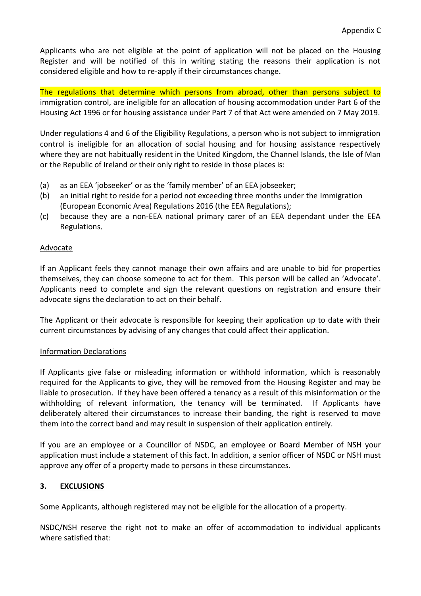Applicants who are not eligible at the point of application will not be placed on the Housing Register and will be notified of this in writing stating the reasons their application is not considered eligible and how to re-apply if their circumstances change.

The regulations that determine which persons from abroad, other than persons subject to immigration control, are ineligible for an allocation of housing accommodation under Part 6 of the Housing Act 1996 or for housing assistance under Part 7 of that Act were amended on 7 May 2019.

Under regulations 4 and 6 of the Eligibility Regulations, a person who is not subject to immigration control is ineligible for an allocation of social housing and for housing assistance respectively where they are not habitually resident in the United Kingdom, the Channel Islands, the Isle of Man or the Republic of Ireland or their only right to reside in those places is:

- (a) as an EEA 'jobseeker' or as the 'family member' of an EEA jobseeker;
- (b) an initial right to reside for a period not exceeding three months under the Immigration (European Economic Area) Regulations 2016 (the EEA Regulations);
- (c) because they are a non-EEA national primary carer of an EEA dependant under the EEA Regulations.

# Advocate

If an Applicant feels they cannot manage their own affairs and are unable to bid for properties themselves, they can choose someone to act for them. This person will be called an 'Advocate'. Applicants need to complete and sign the relevant questions on registration and ensure their advocate signs the declaration to act on their behalf.

The Applicant or their advocate is responsible for keeping their application up to date with their current circumstances by advising of any changes that could affect their application.

## Information Declarations

If Applicants give false or misleading information or withhold information, which is reasonably required for the Applicants to give, they will be removed from the Housing Register and may be liable to prosecution. If they have been offered a tenancy as a result of this misinformation or the withholding of relevant information, the tenancy will be terminated. If Applicants have deliberately altered their circumstances to increase their banding, the right is reserved to move them into the correct band and may result in suspension of their application entirely.

If you are an employee or a Councillor of NSDC, an employee or Board Member of NSH your application must include a statement of this fact. In addition, a senior officer of NSDC or NSH must approve any offer of a property made to persons in these circumstances.

# **3. EXCLUSIONS**

Some Applicants, although registered may not be eligible for the allocation of a property.

NSDC/NSH reserve the right not to make an offer of accommodation to individual applicants where satisfied that: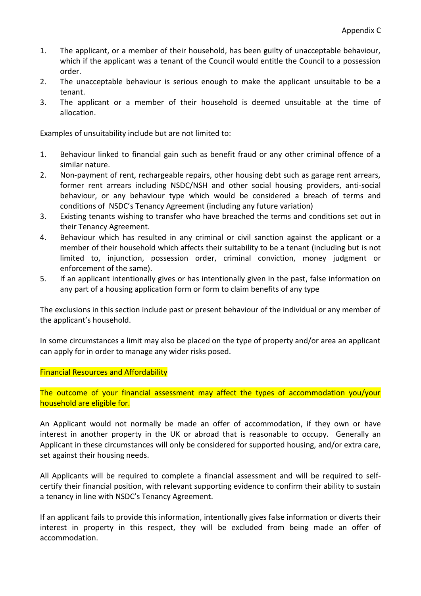- 1. The applicant, or a member of their household, has been guilty of unacceptable behaviour, which if the applicant was a tenant of the Council would entitle the Council to a possession order.
- 2. The unacceptable behaviour is serious enough to make the applicant unsuitable to be a tenant.
- 3. The applicant or a member of their household is deemed unsuitable at the time of allocation.

Examples of unsuitability include but are not limited to:

- 1. Behaviour linked to financial gain such as benefit fraud or any other criminal offence of a similar nature.
- 2. Non-payment of rent, rechargeable repairs, other housing debt such as garage rent arrears, former rent arrears including NSDC/NSH and other social housing providers, anti-social behaviour, or any behaviour type which would be considered a breach of terms and conditions of NSDC's Tenancy Agreement (including any future variation)
- 3. Existing tenants wishing to transfer who have breached the terms and conditions set out in their Tenancy Agreement.
- 4. Behaviour which has resulted in any criminal or civil sanction against the applicant or a member of their household which affects their suitability to be a tenant (including but is not limited to, injunction, possession order, criminal conviction, money judgment or enforcement of the same).
- 5. If an applicant intentionally gives or has intentionally given in the past, false information on any part of a housing application form or form to claim benefits of any type

The exclusions in this section include past or present behaviour of the individual or any member of the applicant's household.

In some circumstances a limit may also be placed on the type of property and/or area an applicant can apply for in order to manage any wider risks posed.

Financial Resources and Affordability

The outcome of your financial assessment may affect the types of accommodation you/your household are eligible for.

An Applicant would not normally be made an offer of accommodation, if they own or have interest in another property in the UK or abroad that is reasonable to occupy. Generally an Applicant in these circumstances will only be considered for supported housing, and/or extra care, set against their housing needs.

All Applicants will be required to complete a financial assessment and will be required to selfcertify their financial position, with relevant supporting evidence to confirm their ability to sustain a tenancy in line with NSDC's Tenancy Agreement.

If an applicant fails to provide this information, intentionally gives false information or diverts their interest in property in this respect, they will be excluded from being made an offer of accommodation.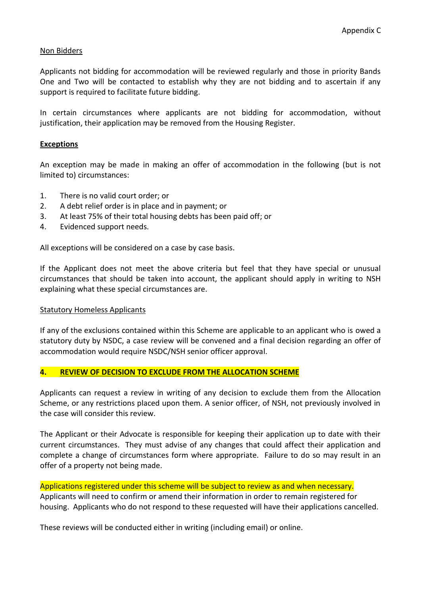## Non Bidders

Applicants not bidding for accommodation will be reviewed regularly and those in priority Bands One and Two will be contacted to establish why they are not bidding and to ascertain if any support is required to facilitate future bidding.

In certain circumstances where applicants are not bidding for accommodation, without justification, their application may be removed from the Housing Register.

## **Exceptions**

An exception may be made in making an offer of accommodation in the following (but is not limited to) circumstances:

- 1. There is no valid court order; or
- 2. A debt relief order is in place and in payment; or
- 3. At least 75% of their total housing debts has been paid off; or
- 4. Evidenced support needs.

All exceptions will be considered on a case by case basis.

If the Applicant does not meet the above criteria but feel that they have special or unusual circumstances that should be taken into account, the applicant should apply in writing to NSH explaining what these special circumstances are.

## Statutory Homeless Applicants

If any of the exclusions contained within this Scheme are applicable to an applicant who is owed a statutory duty by NSDC, a case review will be convened and a final decision regarding an offer of accommodation would require NSDC/NSH senior officer approval.

## **4. REVIEW OF DECISION TO EXCLUDE FROM THE ALLOCATION SCHEME**

Applicants can request a review in writing of any decision to exclude them from the Allocation Scheme, or any restrictions placed upon them. A senior officer, of NSH, not previously involved in the case will consider this review.

The Applicant or their Advocate is responsible for keeping their application up to date with their current circumstances. They must advise of any changes that could affect their application and complete a change of circumstances form where appropriate. Failure to do so may result in an offer of a property not being made.

## Applications registered under this scheme will be subject to review as and when necessary.

Applicants will need to confirm or amend their information in order to remain registered for housing. Applicants who do not respond to these requested will have their applications cancelled.

These reviews will be conducted either in writing (including email) or online.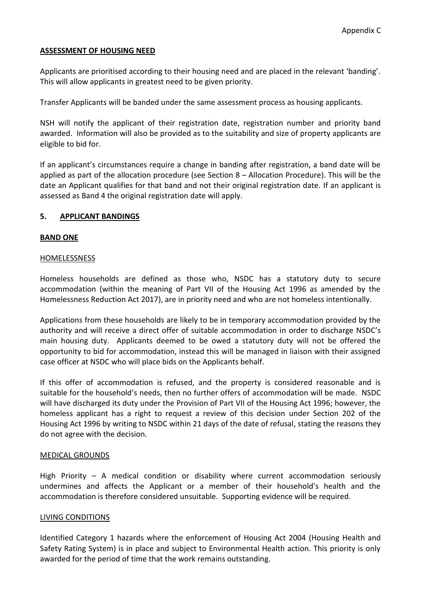## **ASSESSMENT OF HOUSING NEED**

Applicants are prioritised according to their housing need and are placed in the relevant 'banding'. This will allow applicants in greatest need to be given priority.

Transfer Applicants will be banded under the same assessment process as housing applicants.

NSH will notify the applicant of their registration date, registration number and priority band awarded. Information will also be provided as to the suitability and size of property applicants are eligible to bid for.

If an applicant's circumstances require a change in banding after registration, a band date will be applied as part of the allocation procedure (see Section 8 – Allocation Procedure). This will be the date an Applicant qualifies for that band and not their original registration date. If an applicant is assessed as Band 4 the original registration date will apply.

## **5. APPLICANT BANDINGS**

## **BAND ONE**

### HOMELESSNESS

Homeless households are defined as those who, NSDC has a statutory duty to secure accommodation (within the meaning of Part VII of the Housing Act 1996 as amended by the Homelessness Reduction Act 2017), are in priority need and who are not homeless intentionally.

Applications from these households are likely to be in temporary accommodation provided by the authority and will receive a direct offer of suitable accommodation in order to discharge NSDC's main housing duty. Applicants deemed to be owed a statutory duty will not be offered the opportunity to bid for accommodation, instead this will be managed in liaison with their assigned case officer at NSDC who will place bids on the Applicants behalf.

If this offer of accommodation is refused, and the property is considered reasonable and is suitable for the household's needs, then no further offers of accommodation will be made. NSDC will have discharged its duty under the Provision of Part VII of the Housing Act 1996; however, the homeless applicant has a right to request a review of this decision under Section 202 of the Housing Act 1996 by writing to NSDC within 21 days of the date of refusal, stating the reasons they do not agree with the decision.

## MEDICAL GROUNDS

High Priority – A medical condition or disability where current accommodation seriously undermines and affects the Applicant or a member of their household's health and the accommodation is therefore considered unsuitable. Supporting evidence will be required.

## LIVING CONDITIONS

Identified Category 1 hazards where the enforcement of Housing Act 2004 (Housing Health and Safety Rating System) is in place and subject to Environmental Health action. This priority is only awarded for the period of time that the work remains outstanding.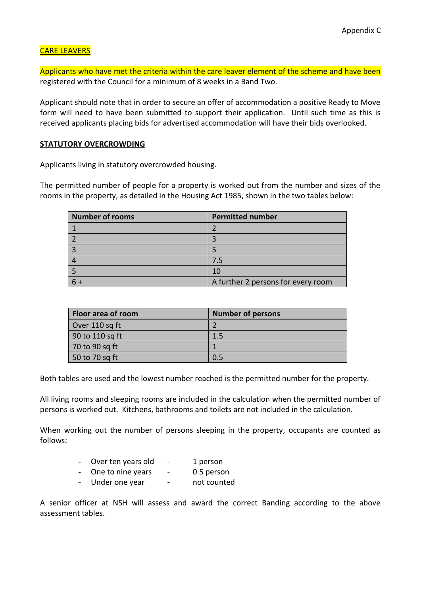# CARE LEAVERS

Applicants who have met the criteria within the care leaver element of the scheme and have been registered with the Council for a minimum of 8 weeks in a Band Two.

Applicant should note that in order to secure an offer of accommodation a positive Ready to Move form will need to have been submitted to support their application. Until such time as this is received applicants placing bids for advertised accommodation will have their bids overlooked.

## **STATUTORY OVERCROWDING**

Applicants living in statutory overcrowded housing.

The permitted number of people for a property is worked out from the number and sizes of the rooms in the property, as detailed in the Housing Act 1985, shown in the two tables below:

| Number of rooms | <b>Permitted number</b>            |
|-----------------|------------------------------------|
|                 |                                    |
|                 |                                    |
|                 |                                    |
|                 | 7.5                                |
|                 | 10                                 |
|                 | A further 2 persons for every room |

| <b>Floor area of room</b> | <b>Number of persons</b> |
|---------------------------|--------------------------|
| Over 110 sq ft            |                          |
| 90 to 110 sq ft           | 1.5                      |
| 70 to 90 sq ft            |                          |
| 50 to 70 sq ft            | 0.5                      |

Both tables are used and the lowest number reached is the permitted number for the property.

All living rooms and sleeping rooms are included in the calculation when the permitted number of persons is worked out. Kitchens, bathrooms and toilets are not included in the calculation.

When working out the number of persons sleeping in the property, occupants are counted as follows:

| Over ten years old | $\qquad \qquad \blacksquare$ | 1 person    |
|--------------------|------------------------------|-------------|
| One to nine years  | $\overline{\phantom{0}}$     | 0.5 person  |
| Under one year     | -                            | not counted |

A senior officer at NSH will assess and award the correct Banding according to the above assessment tables.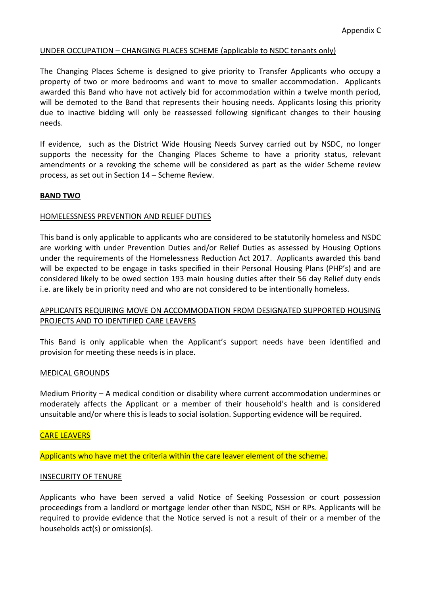## UNDER OCCUPATION – CHANGING PLACES SCHEME (applicable to NSDC tenants only)

The Changing Places Scheme is designed to give priority to Transfer Applicants who occupy a property of two or more bedrooms and want to move to smaller accommodation. Applicants awarded this Band who have not actively bid for accommodation within a twelve month period, will be demoted to the Band that represents their housing needs. Applicants losing this priority due to inactive bidding will only be reassessed following significant changes to their housing needs.

If evidence, such as the District Wide Housing Needs Survey carried out by NSDC, no longer supports the necessity for the Changing Places Scheme to have a priority status, relevant amendments or a revoking the scheme will be considered as part as the wider Scheme review process, as set out in Section 14 – Scheme Review.

## **BAND TWO**

## HOMELESSNESS PREVENTION AND RELIEF DUTIES

This band is only applicable to applicants who are considered to be statutorily homeless and NSDC are working with under Prevention Duties and/or Relief Duties as assessed by Housing Options under the requirements of the Homelessness Reduction Act 2017. Applicants awarded this band will be expected to be engage in tasks specified in their Personal Housing Plans (PHP's) and are considered likely to be owed section 193 main housing duties after their 56 day Relief duty ends i.e. are likely be in priority need and who are not considered to be intentionally homeless.

## APPLICANTS REQUIRING MOVE ON ACCOMMODATION FROM DESIGNATED SUPPORTED HOUSING PROJECTS AND TO IDENTIFIED CARE LEAVERS

This Band is only applicable when the Applicant's support needs have been identified and provision for meeting these needs is in place.

## MEDICAL GROUNDS

Medium Priority – A medical condition or disability where current accommodation undermines or moderately affects the Applicant or a member of their household's health and is considered unsuitable and/or where this is leads to social isolation. Supporting evidence will be required.

## CARE LEAVERS

Applicants who have met the criteria within the care leaver element of the scheme.

#### INSECURITY OF TENURE

Applicants who have been served a valid Notice of Seeking Possession or court possession proceedings from a landlord or mortgage lender other than NSDC, NSH or RPs. Applicants will be required to provide evidence that the Notice served is not a result of their or a member of the households act(s) or omission(s).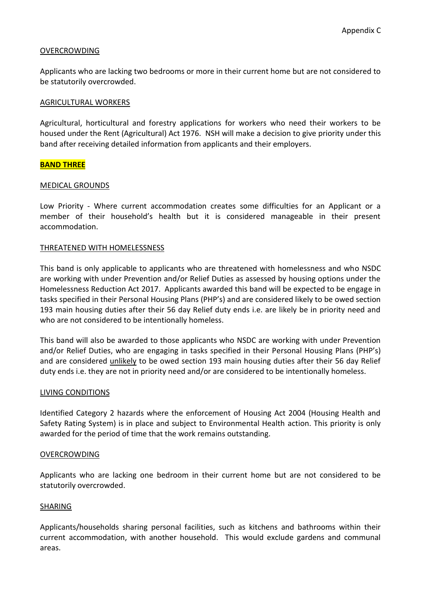## OVERCROWDING

Applicants who are lacking two bedrooms or more in their current home but are not considered to be statutorily overcrowded.

## AGRICULTURAL WORKERS

Agricultural, horticultural and forestry applications for workers who need their workers to be housed under the Rent (Agricultural) Act 1976. NSH will make a decision to give priority under this band after receiving detailed information from applicants and their employers.

### **BAND THREE**

### MEDICAL GROUNDS

Low Priority - Where current accommodation creates some difficulties for an Applicant or a member of their household's health but it is considered manageable in their present accommodation.

### THREATENED WITH HOMELESSNESS

This band is only applicable to applicants who are threatened with homelessness and who NSDC are working with under Prevention and/or Relief Duties as assessed by housing options under the Homelessness Reduction Act 2017. Applicants awarded this band will be expected to be engage in tasks specified in their Personal Housing Plans (PHP's) and are considered likely to be owed section 193 main housing duties after their 56 day Relief duty ends i.e. are likely be in priority need and who are not considered to be intentionally homeless.

This band will also be awarded to those applicants who NSDC are working with under Prevention and/or Relief Duties, who are engaging in tasks specified in their Personal Housing Plans (PHP's) and are considered unlikely to be owed section 193 main housing duties after their 56 day Relief duty ends i.e. they are not in priority need and/or are considered to be intentionally homeless.

#### LIVING CONDITIONS

Identified Category 2 hazards where the enforcement of Housing Act 2004 (Housing Health and Safety Rating System) is in place and subject to Environmental Health action. This priority is only awarded for the period of time that the work remains outstanding.

#### OVERCROWDING

Applicants who are lacking one bedroom in their current home but are not considered to be statutorily overcrowded.

## SHARING

Applicants/households sharing personal facilities, such as kitchens and bathrooms within their current accommodation, with another household. This would exclude gardens and communal areas.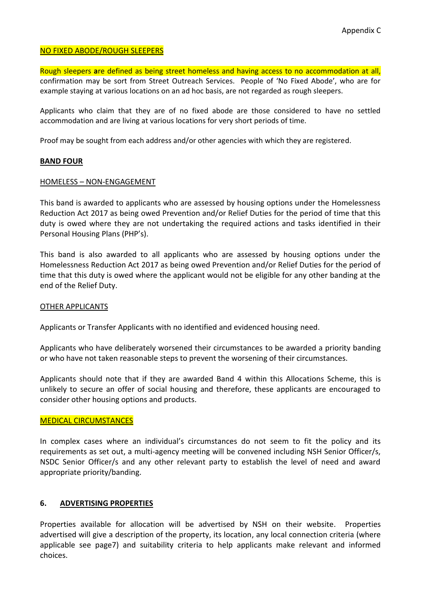## NO FIXED ABODE/ROUGH SLEEPERS

Rough sleepers **a**re defined as being street homeless and having access to no accommodation at all, confirmation may be sort from Street Outreach Services. People of 'No Fixed Abode', who are for example staying at various locations on an ad hoc basis, are not regarded as rough sleepers.

Applicants who claim that they are of no fixed abode are those considered to have no settled accommodation and are living at various locations for very short periods of time.

Proof may be sought from each address and/or other agencies with which they are registered.

### **BAND FOUR**

### HOMELESS – NON-ENGAGEMENT

This band is awarded to applicants who are assessed by housing options under the Homelessness Reduction Act 2017 as being owed Prevention and/or Relief Duties for the period of time that this duty is owed where they are not undertaking the required actions and tasks identified in their Personal Housing Plans (PHP's).

This band is also awarded to all applicants who are assessed by housing options under the Homelessness Reduction Act 2017 as being owed Prevention and/or Relief Duties for the period of time that this duty is owed where the applicant would not be eligible for any other banding at the end of the Relief Duty.

#### OTHER APPLICANTS

Applicants or Transfer Applicants with no identified and evidenced housing need.

Applicants who have deliberately worsened their circumstances to be awarded a priority banding or who have not taken reasonable steps to prevent the worsening of their circumstances.

Applicants should note that if they are awarded Band 4 within this Allocations Scheme, this is unlikely to secure an offer of social housing and therefore, these applicants are encouraged to consider other housing options and products.

#### MEDICAL CIRCUMSTANCES

In complex cases where an individual's circumstances do not seem to fit the policy and its requirements as set out, a multi-agency meeting will be convened including NSH Senior Officer/s, NSDC Senior Officer/s and any other relevant party to establish the level of need and award appropriate priority/banding.

## **6. ADVERTISING PROPERTIES**

Properties available for allocation will be advertised by NSH on their website. Properties advertised will give a description of the property, its location, any local connection criteria (where applicable see page7) and suitability criteria to help applicants make relevant and informed choices.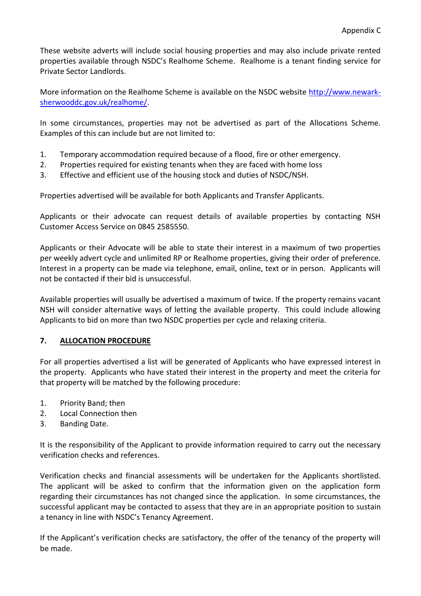These website adverts will include social housing properties and may also include private rented properties available through NSDC's Realhome Scheme. Realhome is a tenant finding service for Private Sector Landlords.

More information on the Realhome Scheme is available on the NSDC website [http://www.newark](http://www.newark-sherwooddc.gov.uk/realhome/)[sherwooddc.gov.uk/realhome/.](http://www.newark-sherwooddc.gov.uk/realhome/)

In some circumstances, properties may not be advertised as part of the Allocations Scheme. Examples of this can include but are not limited to:

- 1. Temporary accommodation required because of a flood, fire or other emergency.
- 2. Properties required for existing tenants when they are faced with home loss
- 3. Effective and efficient use of the housing stock and duties of NSDC/NSH.

Properties advertised will be available for both Applicants and Transfer Applicants.

Applicants or their advocate can request details of available properties by contacting NSH Customer Access Service on 0845 2585550.

Applicants or their Advocate will be able to state their interest in a maximum of two properties per weekly advert cycle and unlimited RP or Realhome properties, giving their order of preference. Interest in a property can be made via telephone, email, online, text or in person. Applicants will not be contacted if their bid is unsuccessful.

Available properties will usually be advertised a maximum of twice. If the property remains vacant NSH will consider alternative ways of letting the available property. This could include allowing Applicants to bid on more than two NSDC properties per cycle and relaxing criteria.

# **7. ALLOCATION PROCEDURE**

For all properties advertised a list will be generated of Applicants who have expressed interest in the property. Applicants who have stated their interest in the property and meet the criteria for that property will be matched by the following procedure:

- 1. Priority Band; then
- 2. Local Connection then
- 3. Banding Date.

It is the responsibility of the Applicant to provide information required to carry out the necessary verification checks and references.

Verification checks and financial assessments will be undertaken for the Applicants shortlisted. The applicant will be asked to confirm that the information given on the application form regarding their circumstances has not changed since the application. In some circumstances, the successful applicant may be contacted to assess that they are in an appropriate position to sustain a tenancy in line with NSDC's Tenancy Agreement.

If the Applicant's verification checks are satisfactory, the offer of the tenancy of the property will be made.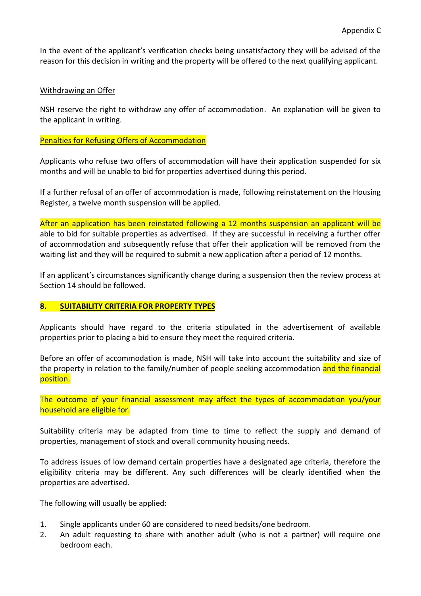In the event of the applicant's verification checks being unsatisfactory they will be advised of the reason for this decision in writing and the property will be offered to the next qualifying applicant.

## Withdrawing an Offer

NSH reserve the right to withdraw any offer of accommodation. An explanation will be given to the applicant in writing.

## Penalties for Refusing Offers of Accommodation

Applicants who refuse two offers of accommodation will have their application suspended for six months and will be unable to bid for properties advertised during this period.

If a further refusal of an offer of accommodation is made, following reinstatement on the Housing Register, a twelve month suspension will be applied.

After an application has been reinstated following a 12 months suspension an applicant will be able to bid for suitable properties as advertised. If they are successful in receiving a further offer of accommodation and subsequently refuse that offer their application will be removed from the waiting list and they will be required to submit a new application after a period of 12 months.

If an applicant's circumstances significantly change during a suspension then the review process at Section 14 should be followed.

# **8. SUITABILITY CRITERIA FOR PROPERTY TYPES**

Applicants should have regard to the criteria stipulated in the advertisement of available properties prior to placing a bid to ensure they meet the required criteria.

Before an offer of accommodation is made, NSH will take into account the suitability and size of the property in relation to the family/number of people seeking accommodation and the financial position.

The outcome of your financial assessment may affect the types of accommodation you/your household are eligible for.

Suitability criteria may be adapted from time to time to reflect the supply and demand of properties, management of stock and overall community housing needs.

To address issues of low demand certain properties have a designated age criteria, therefore the eligibility criteria may be different. Any such differences will be clearly identified when the properties are advertised.

The following will usually be applied:

- 1. Single applicants under 60 are considered to need bedsits/one bedroom.
- 2. An adult requesting to share with another adult (who is not a partner) will require one bedroom each.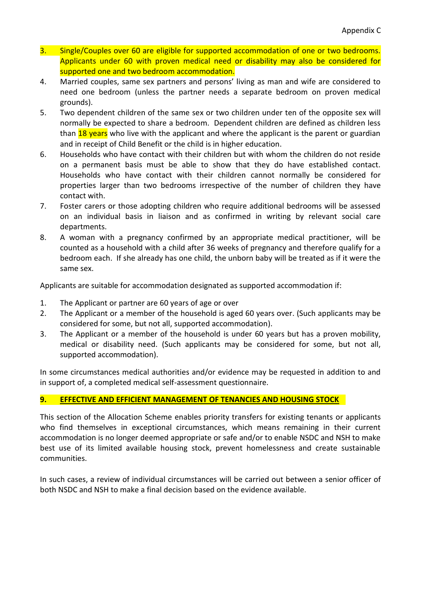- 3. Single/Couples over 60 are eligible for supported accommodation of one or two bedrooms. Applicants under 60 with proven medical need or disability may also be considered for supported one and two bedroom accommodation.
- 4. Married couples, same sex partners and persons' living as man and wife are considered to need one bedroom (unless the partner needs a separate bedroom on proven medical grounds).
- 5. Two dependent children of the same sex or two children under ten of the opposite sex will normally be expected to share a bedroom. Dependent children are defined as children less than 18 years who live with the applicant and where the applicant is the parent or guardian and in receipt of Child Benefit or the child is in higher education.
- 6. Households who have contact with their children but with whom the children do not reside on a permanent basis must be able to show that they do have established contact. Households who have contact with their children cannot normally be considered for properties larger than two bedrooms irrespective of the number of children they have contact with.
- 7. Foster carers or those adopting children who require additional bedrooms will be assessed on an individual basis in liaison and as confirmed in writing by relevant social care departments.
- 8. A woman with a pregnancy confirmed by an appropriate medical practitioner, will be counted as a household with a child after 36 weeks of pregnancy and therefore qualify for a bedroom each. If she already has one child, the unborn baby will be treated as if it were the same sex.

Applicants are suitable for accommodation designated as supported accommodation if:

- 1. The Applicant or partner are 60 years of age or over
- 2. The Applicant or a member of the household is aged 60 years over. (Such applicants may be considered for some, but not all, supported accommodation).
- 3. The Applicant or a member of the household is under 60 years but has a proven mobility, medical or disability need. (Such applicants may be considered for some, but not all, supported accommodation).

In some circumstances medical authorities and/or evidence may be requested in addition to and in support of, a completed medical self-assessment questionnaire.

# **9. EFFECTIVE AND EFFICIENT MANAGEMENT OF TENANCIES AND HOUSING STOCK**

This section of the Allocation Scheme enables priority transfers for existing tenants or applicants who find themselves in exceptional circumstances, which means remaining in their current accommodation is no longer deemed appropriate or safe and/or to enable NSDC and NSH to make best use of its limited available housing stock, prevent homelessness and create sustainable communities.

In such cases, a review of individual circumstances will be carried out between a senior officer of both NSDC and NSH to make a final decision based on the evidence available.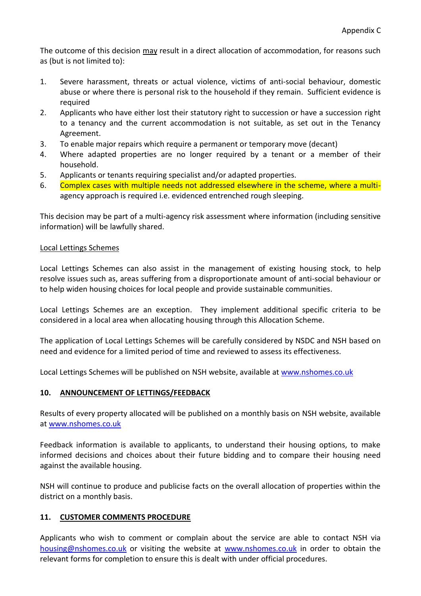The outcome of this decision may result in a direct allocation of accommodation, for reasons such as (but is not limited to):

- 1. Severe harassment, threats or actual violence, victims of anti-social behaviour, domestic abuse or where there is personal risk to the household if they remain. Sufficient evidence is required
- 2. Applicants who have either lost their statutory right to succession or have a succession right to a tenancy and the current accommodation is not suitable, as set out in the Tenancy Agreement.
- 3. To enable major repairs which require a permanent or temporary move (decant)
- 4. Where adapted properties are no longer required by a tenant or a member of their household.
- 5. Applicants or tenants requiring specialist and/or adapted properties.
- 6. Complex cases with multiple needs not addressed elsewhere in the scheme, where a multiagency approach is required i.e. evidenced entrenched rough sleeping.

This decision may be part of a multi-agency risk assessment where information (including sensitive information) will be lawfully shared.

## Local Lettings Schemes

Local Lettings Schemes can also assist in the management of existing housing stock, to help resolve issues such as, areas suffering from a disproportionate amount of anti-social behaviour or to help widen housing choices for local people and provide sustainable communities.

Local Lettings Schemes are an exception. They implement additional specific criteria to be considered in a local area when allocating housing through this Allocation Scheme.

The application of Local Lettings Schemes will be carefully considered by NSDC and NSH based on need and evidence for a limited period of time and reviewed to assess its effectiveness.

Local Lettings Schemes will be published on NSH website, available at [www.nshomes.co.uk](http://www.nshomes.co.uk/)

## **10. ANNOUNCEMENT OF LETTINGS/FEEDBACK**

Results of every property allocated will be published on a monthly basis on NSH website, available at [www.nshomes.co.uk](http://www.nshomes.co.uk/)

Feedback information is available to applicants, to understand their housing options, to make informed decisions and choices about their future bidding and to compare their housing need against the available housing.

NSH will continue to produce and publicise facts on the overall allocation of properties within the district on a monthly basis.

# **11. CUSTOMER COMMENTS PROCEDURE**

Applicants who wish to comment or complain about the service are able to contact NSH via [housing@nshomes.co.uk](mailto:housing@nshomes.co.uk) or visiting the website at [www.nshomes.co.uk](http://www.nshomes.co.uk/) in order to obtain the relevant forms for completion to ensure this is dealt with under official procedures.